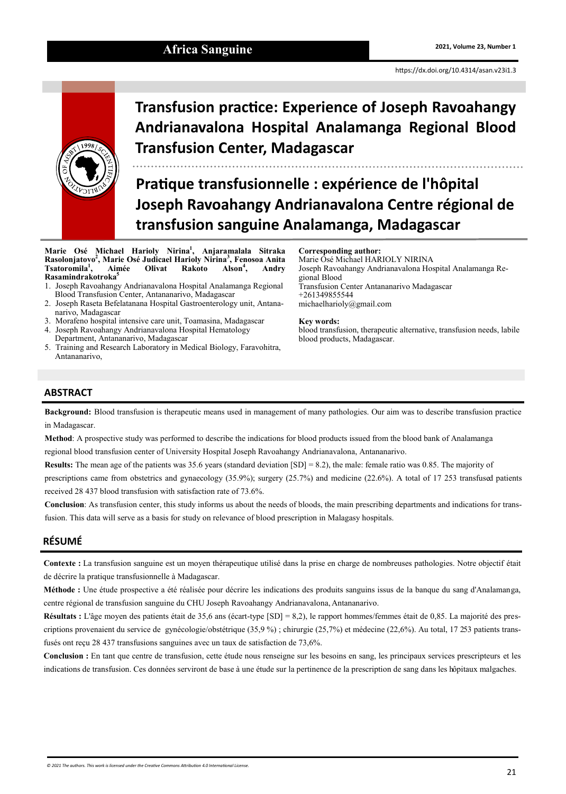# Africa Sanguine **2021, Volume 23, Number 1 2021**, Volume 23, Number 1

<https://dx.doi.org/10.4314/asan.v23i1.3>



# **Transfusion practice: Experience of Joseph Ravoahangy Andrianavalona Hospital Analamanga Regional Blood Transfusion Center, Madagascar**

**Pratique transfusionnelle : expérience de l'hôpital Joseph Ravoahangy Andrianavalona Centre régional de transfusion sanguine Analamanga, Madagascar**

**Marie Osé Michael Harioly Nirina<sup>1</sup> , Anjaramalala Sitraka Rasolonjatovo<sup>2</sup> , Marie Osé Judicael Harioly Nirina<sup>3</sup> , Fenosoa Anita , Aimée Olivat Rakoto Alson<sup>4</sup> Tsatoromila<sup>1</sup>** Alson<sup>4</sup>, Andry **Rasamindrakotroka<sup>5</sup>**

- 1. Joseph Ravoahangy Andrianavalona Hospital Analamanga Regional Blood Transfusion Center, Antananarivo, Madagascar
- 2. Joseph Raseta Befelatanana Hospital Gastroenterology unit, Antananarivo, Madagascar
- 3. Morafeno hospital intensive care unit, Toamasina, Madagascar
- 4. Joseph Ravoahangy Andrianavalona Hospital Hematology Department, Antananarivo, Madagascar
- 5. Training and Research Laboratory in Medical Biology, Faravohitra, Antananarivo,

#### **Corresponding author:**

Marie Osé Michael HARIOLY NIRINA Joseph Ravoahangy Andrianavalona Hospital Analamanga Regional Blood Transfusion Center Antananarivo Madagascar +261349855544 michaelharioly@gmail.com

#### **Key words:**

blood transfusion, therapeutic alternative, transfusion needs, labile blood products, Madagascar.

# **ABSTRACT**

**Background:** Blood transfusion is therapeutic means used in management of many pathologies. Our aim was to describe transfusion practice in Madagascar.

**Method**: A prospective study was performed to describe the indications for blood products issued from the blood bank of Analamanga regional blood transfusion center of University Hospital Joseph Ravoahangy Andrianavalona, Antananarivo.

**Results:** The mean age of the patients was 35.6 years (standard deviation [SD] = 8.2), the male: female ratio was 0.85. The majority of

prescriptions came from obstetrics and gynaecology (35.9%); surgery (25.7%) and medicine (22.6%). A total of 17 253 transfused patients received 28 437 blood transfusion with satisfaction rate of 73.6%.

**Conclusion**: As transfusion center, this study informs us about the needs of bloods, the main prescribing departments and indications for transfusion. This data will serve as a basis for study on relevance of blood prescription in Malagasy hospitals.

# **RÉSUMÉ**

**Contexte :** La transfusion sanguine est un moyen thérapeutique utilisé dans la prise en charge de nombreuses pathologies. Notre objectif était de décrire la pratique transfusionnelle à Madagascar.

**Méthode :** Une étude prospective a été réalisée pour décrire les indications des produits sanguins issus de la banque du sang d'Analamanga, centre régional de transfusion sanguine du CHU Joseph Ravoahangy Andrianavalona, Antananarivo.

**Résultats :** L'âge moyen des patients était de 35,6 ans (écart-type [SD] = 8,2), le rapport hommes/femmes était de 0,85. La majorité des prescriptions provenaient du service de gynécologie/obstétrique (35,9 %) ; chirurgie (25,7%) et médecine (22,6%). Au total, 17 253 patients transfusés ont reçu 28 437 transfusions sanguines avec un taux de satisfaction de 73,6%.

**Conclusion :** En tant que centre de transfusion, cette étude nous renseigne sur les besoins en sang, les principaux services prescripteurs et les indications de transfusion. Ces données serviront de base à une étude sur la pertinence de la prescription de sang dans les hôpitaux malgaches.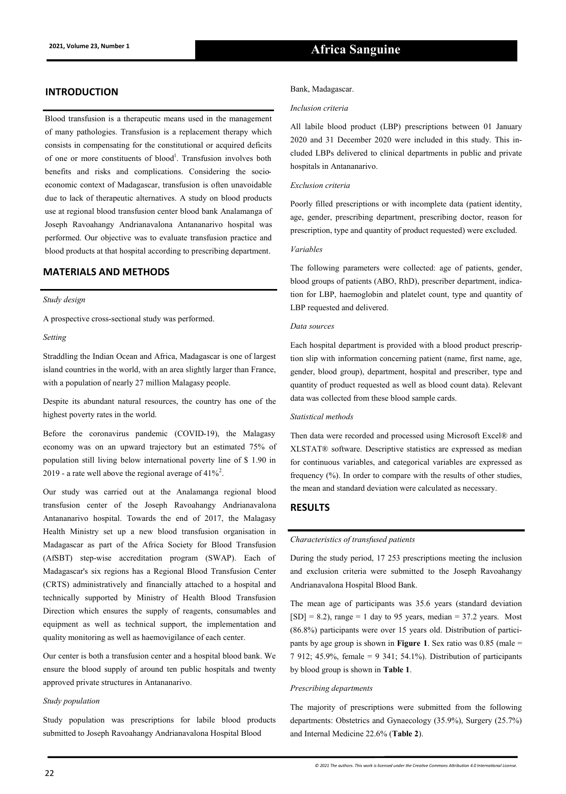# **INTRODUCTION** Bank, Madagascar.

Blood transfusion is a therapeutic means used in the management of many pathologies. Transfusion is a replacement therapy which consists in compensating for the constitutional or acquired deficits of one or more constituents of blood<sup>1</sup>. Transfusion involves both benefits and risks and complications. Considering the socioeconomic context of Madagascar, transfusion is often unavoidable due to lack of therapeutic alternatives. A study on blood products use at regional blood transfusion center blood bank Analamanga of Joseph Ravoahangy Andrianavalona Antananarivo hospital was performed. Our objective was to evaluate transfusion practice and blood products at that hospital according to prescribing department.

## **MATERIALS AND METHODS**

#### *Study design*

A prospective cross-sectional study was performed.

#### *Setting*

Straddling the Indian Ocean and Africa, Madagascar is one of largest island countries in the world, with an area slightly larger than France, with a population of nearly 27 million Malagasy people.

Despite its abundant natural resources, the country has one of the highest poverty rates in the world.

Before the coronavirus pandemic (COVID-19), the Malagasy economy was on an upward trajectory but an estimated 75% of population still living below international poverty line of \$ 1.90 in 2019 - a rate well above the regional average of  $41\%^2$ .

Our study was carried out at the Analamanga regional blood transfusion center of the Joseph Ravoahangy Andrianavalona Antananarivo hospital. Towards the end of 2017, the Malagasy Health Ministry set up a new blood transfusion organisation in Madagascar as part of the Africa Society for Blood Transfusion (AfSBT) step-wise accreditation program (SWAP). Each of Madagascar's six regions has a Regional Blood Transfusion Center (CRTS) administratively and financially attached to a hospital and technically supported by Ministry of Health Blood Transfusion Direction which ensures the supply of reagents, consumables and equipment as well as technical support, the implementation and quality monitoring as well as haemovigilance of each center.

Our center is both a transfusion center and a hospital blood bank. We ensure the blood supply of around ten public hospitals and twenty approved private structures in Antananarivo.

#### *Study population*

Study population was prescriptions for labile blood products submitted to Joseph Ravoahangy Andrianavalona Hospital Blood

#### *Inclusion criteria*

All labile blood product (LBP) prescriptions between 01 January 2020 and 31 December 2020 were included in this study. This included LBPs delivered to clinical departments in public and private hospitals in Antananarivo.

#### *Exclusion criteria*

Poorly filled prescriptions or with incomplete data (patient identity, age, gender, prescribing department, prescribing doctor, reason for prescription, type and quantity of product requested) were excluded.

#### *Variables*

The following parameters were collected: age of patients, gender, blood groups of patients (ABO, RhD), prescriber department, indication for LBP, haemoglobin and platelet count, type and quantity of LBP requested and delivered.

#### *Data sources*

Each hospital department is provided with a blood product prescription slip with information concerning patient (name, first name, age, gender, blood group), department, hospital and prescriber, type and quantity of product requested as well as blood count data). Relevant data was collected from these blood sample cards.

#### *Statistical methods*

Then data were recorded and processed using Microsoft Excel® and XLSTAT® software. Descriptive statistics are expressed as median for continuous variables, and categorical variables are expressed as frequency (%). In order to compare with the results of other studies, the mean and standard deviation were calculated as necessary.

#### **RESULTS**

#### *Characteristics of transfused patients*

During the study period, 17 253 prescriptions meeting the inclusion and exclusion criteria were submitted to the Joseph Ravoahangy Andrianavalona Hospital Blood Bank.

The mean age of participants was 35.6 years (standard deviation  $[SD] = 8.2$ , range = 1 day to 95 years, median = 37.2 years. Most (86.8%) participants were over 15 years old. Distribution of participants by age group is shown in **Figure 1**. Sex ratio was 0.85 (male = 7 912; 45.9%, female = 9 341; 54.1%). Distribution of participants by blood group is shown in **Table 1**.

#### *Prescribing departments*

The majority of prescriptions were submitted from the following departments: Obstetrics and Gynaecology (35.9%), Surgery (25.7%) and Internal Medicine 22.6% (**Table 2**).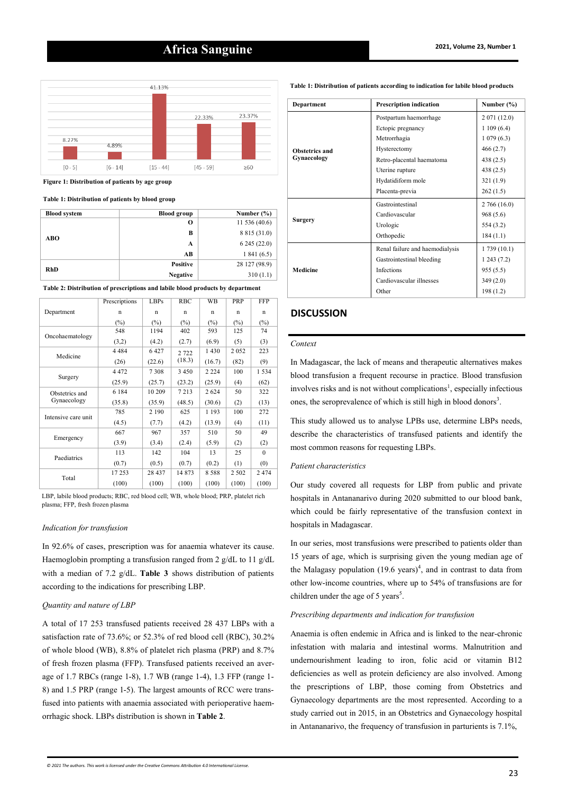# **2021, Volume 23, Number 1 Africa Sanguine**



**Figure 1: Distribution of patients by age group**

**Table 1: Distribution of patients by blood group**

| <b>Blood system</b> | <b>Blood group</b> | Number $(\% )$ |
|---------------------|--------------------|----------------|
|                     | О                  | 11 536 (40.6)  |
| ABO                 | В                  | 8 8 15 (31.0)  |
|                     | A                  | 6245(22.0)     |
|                     | АB                 | 1841(6.5)      |
| <b>RhD</b>          | <b>Positive</b>    | 28 127 (98.9)  |
|                     | <b>Negative</b>    | 310(1.1)       |

**Table 2: Distribution of prescriptions and labile blood products by department**

|                     | Prescriptions | LBPs    | <b>RBC</b> | WB      | PRP     | <b>FFP</b> |
|---------------------|---------------|---------|------------|---------|---------|------------|
| Department          | n             | n       | n          | n       | n       | n          |
|                     | $(\%)$        | $(\%)$  | $(\%)$     | (%)     | $(\%)$  | $(\%)$     |
|                     | 548           | 1194    | 402        | 593     | 125     | 74         |
| Oncohaematology     | (3,2)         | (4.2)   | (2.7)      | (6.9)   | (5)     | (3)        |
|                     | 4 4 8 4       | 6427    | 2 7 2 2    | 1430    | 2052    | 223        |
| Medicine            | (26)          | (22.6)  | (18.3)     | (16.7)  | (82)    | (9)        |
|                     | 4 4 7 2       | 7308    | 3 4 5 0    | 2 2 2 4 | 100     | 1 5 3 4    |
| Surgery             | (25.9)        | (25.7)  | (23.2)     | (25.9)  | (4)     | (62)       |
| Obstetrics and      | 6 1 8 4       | 10 209  | 7213       | 2624    | 50      | 322        |
| Gynaecology         | (35.8)        | (35.9)  | (48.5)     | (30.6)  | (2)     | (13)       |
|                     | 785           | 2 1 9 0 | 625        | 1 1 9 3 | 100     | 272        |
| Intensive care unit | (4.5)         | (7.7)   | (4.2)      | (13.9)  | (4)     | (11)       |
| Emergency           | 667           | 967     | 357        | 510     | 50      | 49         |
|                     | (3.9)         | (3.4)   | (2.4)      | (5.9)   | (2)     | (2)        |
|                     | 113           | 142     | 104        | 13      | 25      | $\Omega$   |
| Paediatrics         | (0.7)         | (0.5)   | (0.7)      | (0.2)   | (1)     | (0)        |
| Total               | 17253         | 28 437  | 14 873     | 8588    | 2 5 0 2 | 2474       |
|                     | (100)         | (100)   | (100)      | (100)   | (100)   | (100)      |

LBP, labile blood products; RBC, red blood cell; WB, whole blood; PRP, platelet rich plasma; FFP, fresh frozen plasma

#### *Indication for transfusion*

In 92.6% of cases, prescription was for anaemia whatever its cause. Haemoglobin prompting a transfusion ranged from 2 g/dL to 11 g/dL with a median of 7.2 g/dL. **Table 3** shows distribution of patients according to the indications for prescribing LBP.

#### *Quantity and nature of LBP*

A total of 17 253 transfused patients received 28 437 LBPs with a satisfaction rate of 73.6%; or 52.3% of red blood cell (RBC), 30.2% of whole blood (WB), 8.8% of platelet rich plasma (PRP) and 8.7% of fresh frozen plasma (FFP). Transfused patients received an average of 1.7 RBCs (range 1-8), 1.7 WB (range 1-4), 1.3 FFP (range 1- 8) and 1.5 PRP (range 1-5). The largest amounts of RCC were transfused into patients with anaemia associated with perioperative haemorrhagic shock. LBPs distribution is shown in **Table 2**.

**Table 1: Distribution of patients according to indication for labile blood products**

| <b>Department</b>             | <b>Prescription indication</b>  | Number $(\% )$ |
|-------------------------------|---------------------------------|----------------|
| Obstetrics and<br>Gynaecology | Postpartum haemorrhage          | 2 071 (12.0)   |
|                               | Ectopic pregnancy               | 1109(6.4)      |
|                               | Metrorrhagia                    | 1079(6.3)      |
|                               | Hysterectomy                    | 466(2.7)       |
|                               | Retro-placental haematoma       | 438 (2.5)      |
|                               | Uterine rupture                 | 438 (2.5)      |
|                               | Hydatidiform mole               | 321(1.9)       |
|                               | Placenta-previa                 | 262(1.5)       |
| <b>Surgery</b>                | Gastrointestinal                | 2766(16.0)     |
|                               | Cardiovascular                  | 968 (5.6)      |
|                               | Urologic                        | 554 (3.2)      |
|                               | Orthopedic                      | 184(1.1)       |
| <b>Medicine</b>               | Renal failure and haemodialysis | 1 739 (10.1)   |
|                               | Gastrointestinal bleeding       | 1243(7.2)      |
|                               | <b>Infections</b>               | 955(5.5)       |
|                               | Cardiovascular illnesses        | 349(2.0)       |
|                               | Other                           | 198(1.2)       |

### **DISCUSSION**

#### *Context*

In Madagascar, the lack of means and therapeutic alternatives makes blood transfusion a frequent recourse in practice. Blood transfusion involves risks and is not without complications<sup>1</sup>, especially infectious ones, the seroprevalence of which is still high in blood donors<sup>3</sup>.

This study allowed us to analyse LPBs use, determine LBPs needs, describe the characteristics of transfused patients and identify the most common reasons for requesting LBPs.

#### *Patient characteristics*

Our study covered all requests for LBP from public and private hospitals in Antananarivo during 2020 submitted to our blood bank, which could be fairly representative of the transfusion context in hospitals in Madagascar.

In our series, most transfusions were prescribed to patients older than 15 years of age, which is surprising given the young median age of the Malagasy population  $(19.6 \text{ years})^4$ , and in contrast to data from other low-income countries, where up to 54% of transfusions are for children under the age of 5 years<sup>5</sup>.

#### *Prescribing departments and indication for transfusion*

Anaemia is often endemic in Africa and is linked to the near-chronic infestation with malaria and intestinal worms. Malnutrition and undernourishment leading to iron, folic acid or vitamin B12 deficiencies as well as protein deficiency are also involved. Among the prescriptions of LBP, those coming from Obstetrics and Gynaecology departments are the most represented. According to a study carried out in 2015, in an Obstetrics and Gynaecology hospital in Antananarivo, the frequency of transfusion in parturients is 7.1%,